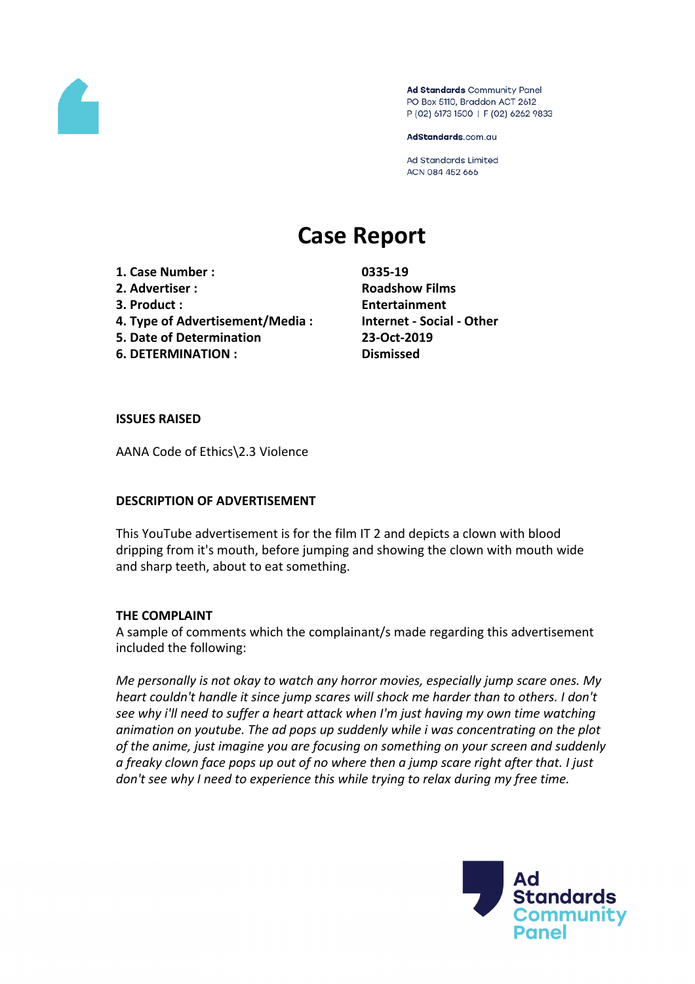

Ad Standards Community Panel PO Box 5110, Braddon ACT 2612 P (02) 6173 1500 | F (02) 6262 9833

AdStandards.com.au

**Ad Standards Limited** ACN 084 452 666

# **Case Report**

- **1. Case Number : 0335-19**
- **2. Advertiser : Roadshow Films**
- 
- **4. Type of Advertisement/Media : Internet - Social - Other**
- **5. Date of Determination 23-Oct-2019**
- **6. DETERMINATION : Dismissed**

**3. Product : Entertainment**

**ISSUES RAISED**

AANA Code of Ethics\2.3 Violence

## **DESCRIPTION OF ADVERTISEMENT**

This YouTube advertisement is for the film IT 2 and depicts a clown with blood dripping from it's mouth, before jumping and showing the clown with mouth wide and sharp teeth, about to eat something.

## **THE COMPLAINT**

A sample of comments which the complainant/s made regarding this advertisement included the following:

*Me personally is not okay to watch any horror movies, especially jump scare ones. My heart couldn't handle it since jump scares will shock me harder than to others. I don't see why i'll need to suffer a heart attack when I'm just having my own time watching animation on youtube. The ad pops up suddenly while i was concentrating on the plot of the anime, just imagine you are focusing on something on your screen and suddenly a freaky clown face pops up out of no where then a jump scare right after that. I just don't see why I need to experience this while trying to relax during my free time.*

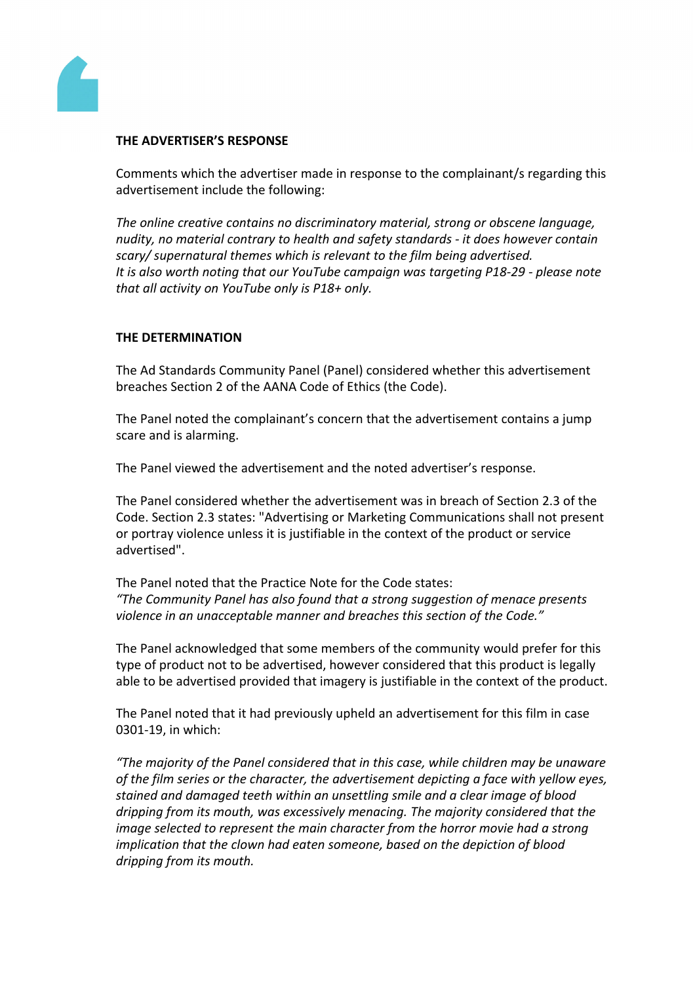

## **THE ADVERTISER'S RESPONSE**

Comments which the advertiser made in response to the complainant/s regarding this advertisement include the following:

*The online creative contains no discriminatory material, strong or obscene language, nudity, no material contrary to health and safety standards - it does however contain scary/ supernatural themes which is relevant to the film being advertised. It is also worth noting that our YouTube campaign was targeting P18-29 - please note that all activity on YouTube only is P18+ only.*

## **THE DETERMINATION**

The Ad Standards Community Panel (Panel) considered whether this advertisement breaches Section 2 of the AANA Code of Ethics (the Code).

The Panel noted the complainant's concern that the advertisement contains a jump scare and is alarming.

The Panel viewed the advertisement and the noted advertiser's response.

The Panel considered whether the advertisement was in breach of Section 2.3 of the Code. Section 2.3 states: "Advertising or Marketing Communications shall not present or portray violence unless it is justifiable in the context of the product or service advertised".

The Panel noted that the Practice Note for the Code states: *"The Community Panel has also found that a strong suggestion of menace presents violence in an unacceptable manner and breaches this section of the Code."*

The Panel acknowledged that some members of the community would prefer for this type of product not to be advertised, however considered that this product is legally able to be advertised provided that imagery is justifiable in the context of the product.

The Panel noted that it had previously upheld an advertisement for this film in case 0301-19, in which:

*"The majority of the Panel considered that in this case, while children may be unaware of the film series or the character, the advertisement depicting a face with yellow eyes, stained and damaged teeth within an unsettling smile and a clear image of blood dripping from its mouth, was excessively menacing. The majority considered that the image selected to represent the main character from the horror movie had a strong implication that the clown had eaten someone, based on the depiction of blood dripping from its mouth.*